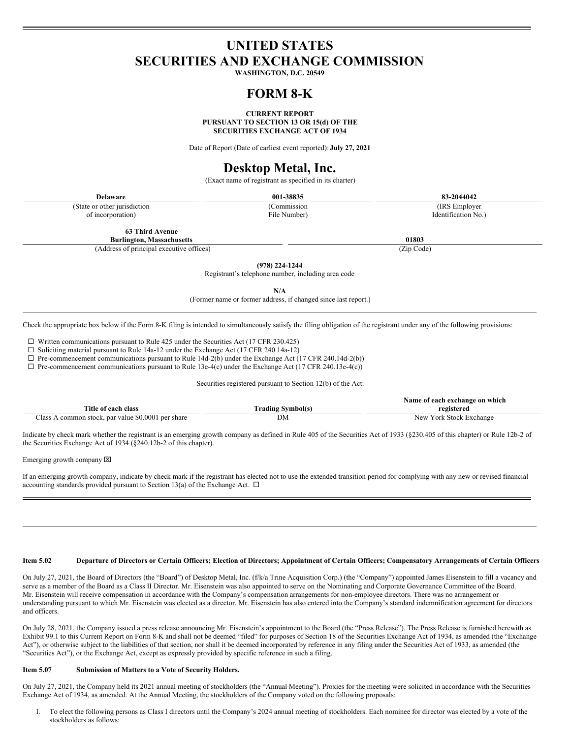# **UNITED STATES SECURITIES AND EXCHANGE COMMISSION**

**WASHINGTON, D.C. 20549**

## **FORM 8-K**

**CURRENT REPORT PURSUANT TO SECTION 13 OR 15(d) OF THE SECURITIES EXCHANGE ACT OF 1934**

Date of Report (Date of earliest event reported): **July 27, 2021**

# **Desktop Metal, Inc.**

(Exact name of registrant as specified in its charter)

| Delaware                      | 001-38835    | 83-2044042          |
|-------------------------------|--------------|---------------------|
| (State or other jurisdiction) | 'Commission  | (IRS Employer)      |
| of incorporation)             | File Number) | Identification No.) |

**63 Third Avenue**

**Burlington, Massachusetts 01803** (Address of principal executive offices) (Zip Code)

**(978) 224-1244**

Registrant's telephone number, including area code

**N/A**

(Former name or former address, if changed since last report.)

Check the appropriate box below if the Form 8-K filing is intended to simultaneously satisfy the filing obligation of the registrant under any of the following provisions:

 $\square$  Written communications pursuant to Rule 425 under the Securities Act (17 CFR 230.425)

 $\Box$  Soliciting material pursuant to Rule 14a-12 under the Exchange Act (17 CFR 240.14a-12)

 $\Box$  Pre-commencement communications pursuant to Rule 14d-2(b) under the Exchange Act (17 CFR 240.14d-2(b))

 $\Box$  Pre-commencement communications pursuant to Rule 13e-4(c) under the Exchange Act (17 CFR 240.13e-4(c))

Securities registered pursuant to Section 12(b) of the Act:

|                                                    |                          | Name of each exchange on which |
|----------------------------------------------------|--------------------------|--------------------------------|
| Title of each class                                | <b>Trading Symbol(s)</b> | registered                     |
| Class A common stock, par value \$0,0001 per share | DM                       | New York Stock Exchange        |

Indicate by check mark whether the registrant is an emerging growth company as defined in Rule 405 of the Securities Act of 1933 (§230.405 of this chapter) or Rule 12b-2 of the Securities Exchange Act of 1934 (§240.12b-2 of this chapter).

Emerging growth company  $\boxtimes$ 

If an emerging growth company, indicate by check mark if the registrant has elected not to use the extended transition period for complying with any new or revised financial accounting standards provided pursuant to Section 13(a) of the Exchange Act.  $\Box$ 

#### Item 5.02 Departure of Directors or Certain Officers; Election of Directors; Appointment of Certain Officers; Compensatory Arrangements of Certain Officers

On July 27, 2021, the Board of Directors (the "Board") of Desktop Metal, Inc. (f/k/a Trine Acquisition Corp.) (the "Company") appointed James Eisenstein to fill a vacancy and serve as a member of the Board as a Class II Director. Mr. Eisenstein was also appointed to serve on the Nominating and Corporate Governance Committee of the Board. Mr. Eisenstein will receive compensation in accordance with the Company's compensation arrangements for non-employee directors. There was no arrangement or understanding pursuant to which Mr. Eisenstein was elected as a director. Mr. Eisenstein has also entered into the Company's standard indemnification agreement for directors and officers.

On July 28, 2021, the Company issued a press release announcing Mr. Eisenstein's appointment to the Board (the "Press Release"). The Press Release is furnished herewith as Exhibit 99.1 to this Current Report on Form 8-K and shall not be deemed "filed" for purposes of Section 18 of the Securities Exchange Act of 1934, as amended (the "Exchange Act"), or otherwise subject to the liabilities of that section, nor shall it be deemed incorporated by reference in any filing under the Securities Act of 1933, as amended (the "Securities Act"), or the Exchange Act, except as expressly provided by specific reference in such a filing.

#### **Item 5.07 Submission of Matters to a Vote of Security Holders.**

On July 27, 2021, the Company held its 2021 annual meeting of stockholders (the "Annual Meeting"). Proxies for the meeting were solicited in accordance with the Securities Exchange Act of 1934, as amended. At the Annual Meeting, the stockholders of the Company voted on the following proposals:

I. To elect the following persons as Class I directors until the Company's 2024 annual meeting of stockholders. Each nominee for director was elected by a vote of the stockholders as follows: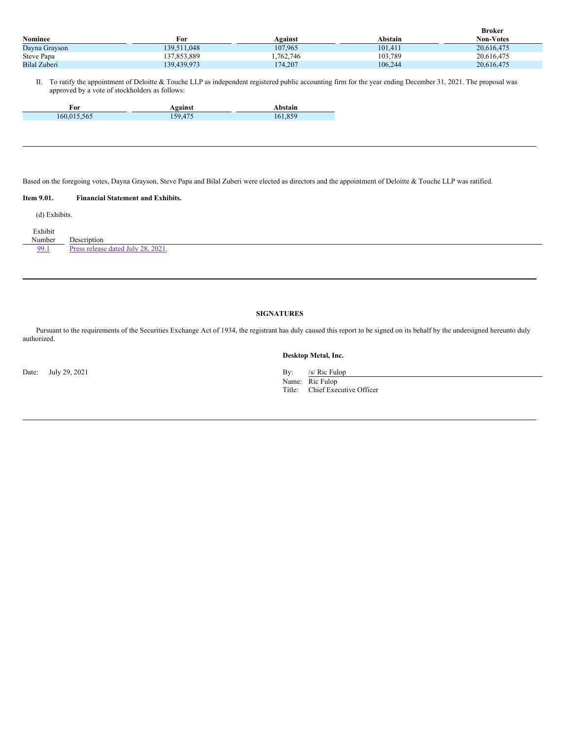|                |             |          |         | <b>Broker</b>    |
|----------------|-------------|----------|---------|------------------|
| <b>Nominee</b> | For         | Against  | Abstain | <b>Non-Votes</b> |
| Dayna Grayson  | 139.511.048 | 107.965  | 101.411 | 20.616.475       |
| Steve Papa     | 137.853.889 | .762.746 | 103,789 | 20.616.475       |
| Bilal Zuberi   | 139.439.973 | 174,207  | 106.244 | 20,616,475       |

II. To ratify the appointment of Deloitte & Touche LLP as independent registered public accounting firm for the year ending December 31, 2021. The proposal was approved by a vote of stockholders as follows:

| ™~<br>т от |  |
|------------|--|
| n.         |  |

Based on the foregoing votes, Dayna Grayson, Steve Papa and Bilal Zuberi were elected as directors and the appointment of Deloitte & Touche LLP was ratified.

## **Item 9.01. Financial Statement and Exhibits.**

(d) Exhibits.

| Exhibit<br>Number | Description                        |
|-------------------|------------------------------------|
| 99.1              | Press release dated July 28, 2021. |
|                   |                                    |

## **SIGNATURES**

Pursuant to the requirements of the Securities Exchange Act of 1934, the registrant has duly caused this report to be signed on its behalf by the undersigned hereunto duly authorized.

### **Desktop Metal, Inc.**

Name: Ric Fulop Title: Chief Executive Officer

Date: July 29, 2021 By: /s/ Ric Fulop